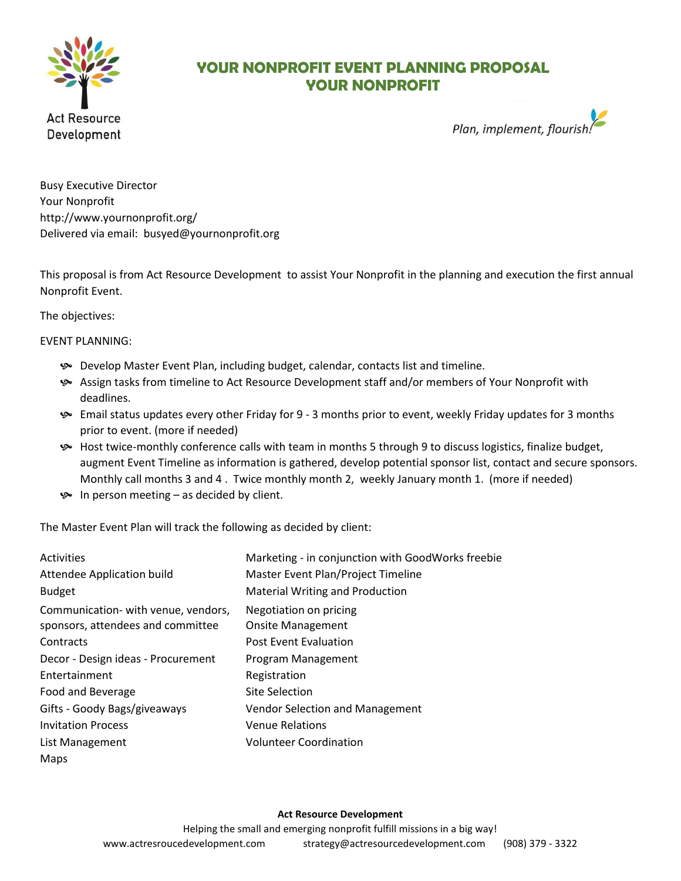

## **YOUR NONPROFIT EVENT PLANNING PROPOSAL YOUR NONPROFIT**



Busy Executive Director Your Nonprofit http://www.yournonprofit.org/ Delivered via email: busyed@yournonprofit.org

This proposal is from Act Resource Development to assist Your Nonprofit in the planning and execution the first annual Nonprofit Event.

The objectives:

EVENT PLANNING:

- Develop Master Event Plan, including budget, calendar, contacts list and timeline.
- Assign tasks from timeline to Act Resource Development staff and/or members of Your Nonprofit with deadlines.
- Email status updates every other Friday for 9 3 months prior to event, weekly Friday updates for 3 months prior to event. (more if needed)
- Host twice-monthly conference calls with team in months 5 through 9 to discuss logistics, finalize budget, augment Event Timeline as information is gathered, develop potential sponsor list, contact and secure sponsors. Monthly call months 3 and 4 . Twice monthly month 2, weekly January month 1. (more if needed)
- $\bullet$  In person meeting as decided by client.

The Master Event Plan will track the following as decided by client:

| <b>Activities</b><br>Attendee Application build<br><b>Budget</b> | Marketing - in conjunction with GoodWorks freebie<br>Master Event Plan/Project Timeline<br><b>Material Writing and Production</b> |
|------------------------------------------------------------------|-----------------------------------------------------------------------------------------------------------------------------------|
|                                                                  |                                                                                                                                   |
| Communication- with venue, vendors,                              | Negotiation on pricing                                                                                                            |
| sponsors, attendees and committee                                | <b>Onsite Management</b>                                                                                                          |
| Contracts                                                        | <b>Post Event Evaluation</b>                                                                                                      |
| Decor - Design ideas - Procurement                               | Program Management                                                                                                                |
| Entertainment                                                    | Registration                                                                                                                      |
| Food and Beverage                                                | Site Selection                                                                                                                    |
| Gifts - Goody Bags/giveaways                                     | Vendor Selection and Management                                                                                                   |
| <b>Invitation Process</b>                                        | <b>Venue Relations</b>                                                                                                            |
| List Management                                                  | <b>Volunteer Coordination</b>                                                                                                     |
| Maps                                                             |                                                                                                                                   |

## **Act Resource Development**